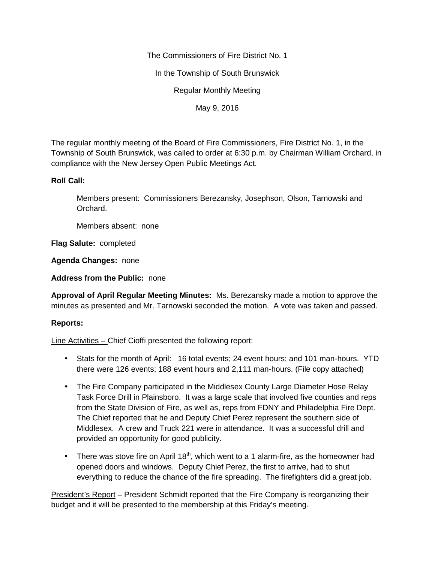The Commissioners of Fire District No. 1

In the Township of South Brunswick

Regular Monthly Meeting

May 9, 2016

The regular monthly meeting of the Board of Fire Commissioners, Fire District No. 1, in the Township of South Brunswick, was called to order at 6:30 p.m. by Chairman William Orchard, in compliance with the New Jersey Open Public Meetings Act.

## **Roll Call:**

Members present: Commissioners Berezansky, Josephson, Olson, Tarnowski and Orchard.

Members absent: none

**Flag Salute:** completed

**Agenda Changes:** none

**Address from the Public:** none

**Approval of April Regular Meeting Minutes:** Ms. Berezansky made a motion to approve the minutes as presented and Mr. Tarnowski seconded the motion. A vote was taken and passed.

# **Reports:**

Line Activities – Chief Cioffi presented the following report:

- Stats for the month of April: 16 total events; 24 event hours; and 101 man-hours. YTD there were 126 events; 188 event hours and 2,111 man-hours. (File copy attached)
- The Fire Company participated in the Middlesex County Large Diameter Hose Relay Task Force Drill in Plainsboro. It was a large scale that involved five counties and reps from the State Division of Fire, as well as, reps from FDNY and Philadelphia Fire Dept. The Chief reported that he and Deputy Chief Perez represent the southern side of Middlesex. A crew and Truck 221 were in attendance. It was a successful drill and provided an opportunity for good publicity.
- There was stove fire on April 18<sup>th</sup>, which went to a 1 alarm-fire, as the homeowner had opened doors and windows. Deputy Chief Perez, the first to arrive, had to shut everything to reduce the chance of the fire spreading. The firefighters did a great job.

President's Report – President Schmidt reported that the Fire Company is reorganizing their budget and it will be presented to the membership at this Friday's meeting.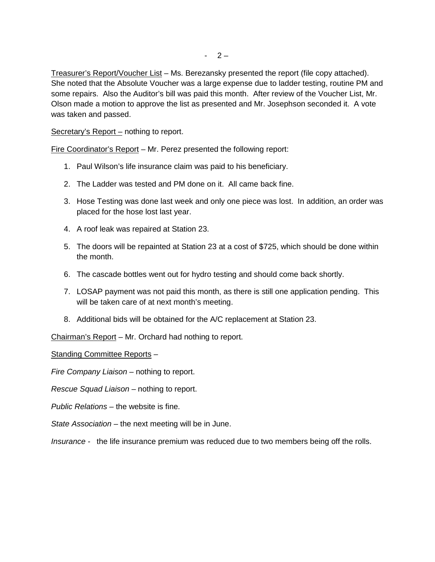Treasurer's Report/Voucher List – Ms. Berezansky presented the report (file copy attached). She noted that the Absolute Voucher was a large expense due to ladder testing, routine PM and some repairs. Also the Auditor's bill was paid this month. After review of the Voucher List, Mr. Olson made a motion to approve the list as presented and Mr. Josephson seconded it. A vote was taken and passed.

Secretary's Report – nothing to report.

Fire Coordinator's Report – Mr. Perez presented the following report:

- 1. Paul Wilson's life insurance claim was paid to his beneficiary.
- 2. The Ladder was tested and PM done on it. All came back fine.
- 3. Hose Testing was done last week and only one piece was lost. In addition, an order was placed for the hose lost last year.
- 4. A roof leak was repaired at Station 23.
- 5. The doors will be repainted at Station 23 at a cost of \$725, which should be done within the month.
- 6. The cascade bottles went out for hydro testing and should come back shortly.
- 7. LOSAP payment was not paid this month, as there is still one application pending. This will be taken care of at next month's meeting.
- 8. Additional bids will be obtained for the A/C replacement at Station 23.

Chairman's Report – Mr. Orchard had nothing to report.

Standing Committee Reports –

*Fire Company Liaison –* nothing to report.

*Rescue Squad Liaison –* nothing to report.

*Public Relations –* the website is fine.

*State Association –* the next meeting will be in June.

*Insurance -* the life insurance premium was reduced due to two members being off the rolls.